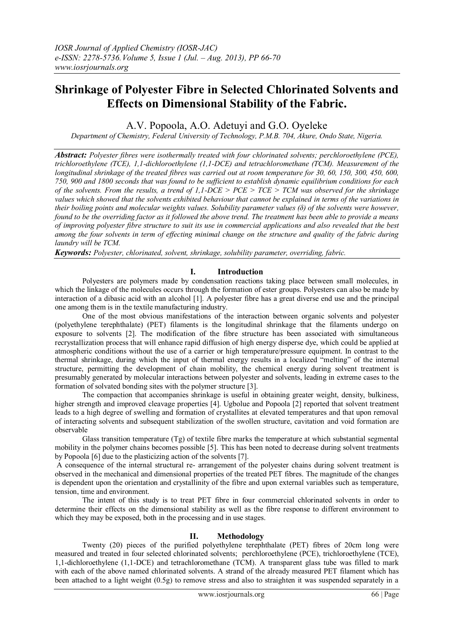# **Shrinkage of Polyester Fibre in Selected Chlorinated Solvents and Effects on Dimensional Stability of the Fabric.**

A.V. Popoola, A.O. Adetuyi and G.O. Oyeleke

*Department of Chemistry, Federal University of Technology, P.M.B. 704, Akure, Ondo State, Nigeria.*

*Abstract: Polyester fibres were isothermally treated with four chlorinated solvents; perchloroethylene (PCE), trichloroethylene (TCE), 1,1-dichloroethylene (1,1-DCE) and tetrachloromethane (TCM). Measurement of the longitudinal shrinkage of the treated fibres was carried out at room temperature for 30, 60, 150, 300, 450, 600, 750, 900 and 1800 seconds that was found to be sufficient to establish dynamic equilibrium conditions for each of the solvents. From the results, a trend of 1,1-DCE > PCE > TCE > TCM was observed for the shrinkage values which showed that the solvents exhibited behaviour that cannot be explained in terms of the variations in their boiling points and molecular weights values. Solubility parameter values (δ) of the solvents were however, found to be the overriding factor as it followed the above trend. The treatment has been able to provide a means of improving polyester fibre structure to suit its use in commercial applications and also revealed that the best among the four solvents in term of effecting minimal change on the structure and quality of the fabric during laundry will be TCM.*

*Keywords: Polyester, chlorinated, solvent, shrinkage, solubility parameter, overriding, fabric.*

## **I. Introduction**

Polyesters are polymers made by condensation reactions taking place between small molecules, in which the linkage of the molecules occurs through the formation of ester groups. Polyesters can also be made by interaction of a dibasic acid with an alcohol [1]. A polyester fibre has a great diverse end use and the principal one among them is in the textile manufacturing industry.

One of the most obvious manifestations of the interaction between organic solvents and polyester (polyethylene terephthalate) (PET) filaments is the longitudinal shrinkage that the filaments undergo on exposure to solvents [2]. The modification of the fibre structure has been associated with simultaneous recrystallization process that will enhance rapid diffusion of high energy disperse dye, which could be applied at atmospheric conditions without the use of a carrier or high temperature/pressure equipment. In contrast to the thermal shrinkage, during which the input of thermal energy results in a localized "melting" of the internal structure, permitting the development of chain mobility, the chemical energy during solvent treatment is presumably generated by molecular interactions between polyester and solvents, leading in extreme cases to the formation of solvated bonding sites with the polymer structure [3].

The compaction that accompanies shrinkage is useful in obtaining greater weight, density, bulkiness, higher strength and improved cleavage properties [4]. Ugbolue and Popoola [2] reported that solvent treatment leads to a high degree of swelling and formation of crystallites at elevated temperatures and that upon removal of interacting solvents and subsequent stabilization of the swollen structure, cavitation and void formation are observable

Glass transition temperature (Tg) of textile fibre marks the temperature at which substantial segmental mobility in the polymer chains becomes possible [5]. This has been noted to decrease during solvent treatments by Popoola [6] due to the plasticizing action of the solvents [7].

A consequence of the internal structural re- arrangement of the polyester chains during solvent treatment is observed in the mechanical and dimensional properties of the treated PET fibres. The magnitude of the changes is dependent upon the orientation and crystallinity of the fibre and upon external variables such as temperature, tension, time and environment.

The intent of this study is to treat PET fibre in four commercial chlorinated solvents in order to determine their effects on the dimensional stability as well as the fibre response to different environment to which they may be exposed, both in the processing and in use stages.

## **II. Methodology**

Twenty (20) pieces of the purified polyethylene terephthalate (PET) fibres of 20cm long were measured and treated in four selected chlorinated solvents; perchloroethylene (PCE), trichloroethylene (TCE), 1,1-dichloroethylene (1,1-DCE) and tetrachloromethane (TCM). A transparent glass tube was filled to mark with each of the above named chlorinated solvents. A strand of the already measured PET filament which has been attached to a light weight (0.5g) to remove stress and also to straighten it was suspended separately in a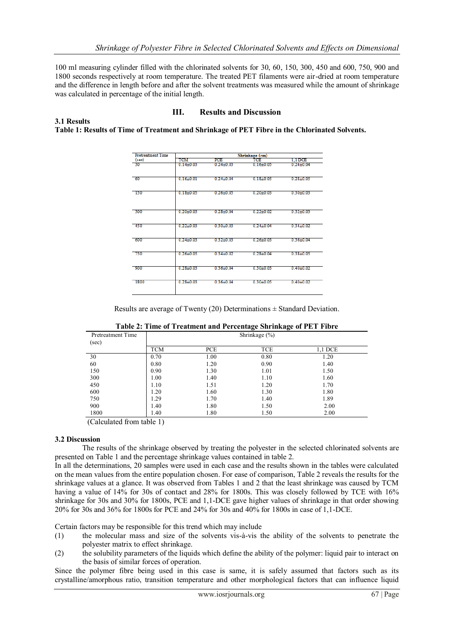100 ml measuring cylinder filled with the chlorinated solvents for 30, 60, 150, 300, 450 and 600, 750, 900 and 1800 seconds respectively at room temperature. The treated PET filaments were air-dried at room temperature and the difference in length before and after the solvent treatments was measured while the amount of shrinkage was calculated in percentage of the initial length.

# **III. Results and Discussion**

**3.1 Results Table 1: Results of Time of Treatment and Shrinkage of PET Fibre in the Chlorinated Solvents.**

| <b>Pretreatment Time</b> | Shrinkage (cm)  |                 |               |               |  |  |  |
|--------------------------|-----------------|-----------------|---------------|---------------|--|--|--|
| (sec)                    | TCM             | PCE             | TCE           | 1.1 DCE       |  |  |  |
| 30                       | $0.14 \pm 0.03$ | $0.24 + 0.03$   | $0.16 + 0.05$ | $0.24 + 0.04$ |  |  |  |
| -60                      | $0.16 + 0.01$   | $0.24 + 0.04$   | $0.18 + 0.05$ | $0.28 + 0.05$ |  |  |  |
| <b>150</b>               | $0.18 + 0.05$   | $0.26 + 0.05$   | $0.20 + 0.03$ | $0.30 + 0.03$ |  |  |  |
| 300                      | $0.20 + 0.03$   | $0.28 + 0.04$   | $0.22 + 0.02$ | $0.32 + 0.03$ |  |  |  |
| 450                      | $0.22 + 0.03$   | $0.30 + 0.03$   | $0.24 + 0.04$ | $0.34 + 0.02$ |  |  |  |
| 600                      | $0.24 + 0.03$   | $0.32{\pm}0.03$ | $0.26 + 0.03$ | $0.36 + 0.04$ |  |  |  |
| 750                      | $0.26 + 0.05$   | $0.34 + 0.02$   | $0.28 + 0.04$ | $0.38 + 0.05$ |  |  |  |
| -900                     | $0.28 + 0.03$   | $0.36 + 0.04$   | $0.30 + 0.03$ | $0.40 + 0.02$ |  |  |  |
| 1800                     | $0.28 + 0.03$   | $0.36 + 0.04$   | $0.30 + 0.05$ | $0.40 + 0.02$ |  |  |  |
|                          |                 |                 |               |               |  |  |  |

Results are average of Twenty (20) Determinations  $\pm$  Standard Deviation.

| Pretreatment Time<br>(sec) | $\cdots$<br>Shrinkage $(\% )$ |      |            |         |  |
|----------------------------|-------------------------------|------|------------|---------|--|
|                            | <b>TCM</b>                    | PCE  | <b>TCE</b> | 1,1 DCE |  |
| 30                         | 0.70                          | 1.00 | 0.80       | 1.20    |  |
| 60                         | 0.80                          | 1.20 | 0.90       | 1.40    |  |
| 150                        | 0.90                          | 1.30 | 1.01       | 1.50    |  |
| 300                        | 1.00                          | 1.40 | 1.10       | 1.60    |  |
| 450                        | 1.10                          | 1.51 | 1.20       | 1.70    |  |
| 600                        | 1.20                          | 1.60 | 1.30       | 1.80    |  |
| 750                        | 1.29                          | 1.70 | 1.40       | 1.89    |  |
| 900                        | 1.40                          | 1.80 | 1.50       | 2.00    |  |
| 1800                       | 1.40                          | 1.80 | 1.50       | 2.00    |  |

| Table 2: Time of Treatment and Percentage Shrinkage of PET Fibre |
|------------------------------------------------------------------|
|                                                                  |

(Calculated from table 1)

## **3.2 Discussion**

The results of the shrinkage observed by treating the polyester in the selected chlorinated solvents are presented on Table 1 and the percentage shrinkage values contained in table 2.

In all the determinations, 20 samples were used in each case and the results shown in the tables were calculated on the mean values from the entire population chosen. For ease of comparison, Table 2 reveals the results for the shrinkage values at a glance. It was observed from Tables 1 and 2 that the least shrinkage was caused by TCM having a value of 14% for 30s of contact and 28% for 1800s. This was closely followed by TCE with 16% shrinkage for 30s and 30% for 1800s, PCE and 1,1-DCE gave higher values of shrinkage in that order showing 20% for 30s and 36% for 1800s for PCE and 24% for 30s and 40% for 1800s in case of 1,1-DCE.

Certain factors may be responsible for this trend which may include

- (1) the molecular mass and size of the solvents vis-à-vis the ability of the solvents to penetrate the polyester matrix to effect shrinkage.
- (2) the solubility parameters of the liquids which define the ability of the polymer: liquid pair to interact on the basis of similar forces of operation.

Since the polymer fibre being used in this case is same, it is safely assumed that factors such as its crystalline/amorphous ratio, transition temperature and other morphological factors that can influence liquid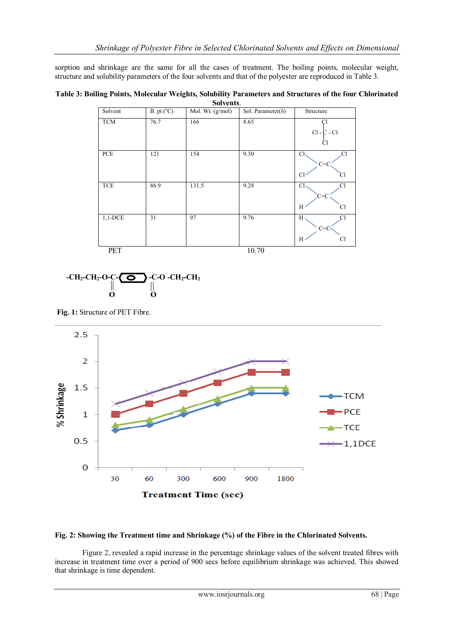sorption and shrinkage are the same for all the cases of treatment. The boiling points, molecular weight, structure and solubility parameters of the four solvents and that of the polyester are reproduced in Table 3.

**Table 3: Boiling Points, Molecular Weights, Solubility Parameters and Structures of the four Chlorinated Solvents**.

| Solvent    | B. pt (°C) | Mol. Wt. (g/mol) | Sol. Parameter( $\delta$ ) | Structure                                           |
|------------|------------|------------------|----------------------------|-----------------------------------------------------|
| <b>TCM</b> | 76.7       | 166              | 8.65                       | Cl<br>$Cl - C - Cl$<br>Cl                           |
| PCE        | 121        | 154              | 9.30                       | Cl<br>Cl<br>$C = 0$<br>CI<br>C                      |
| TCE        | 86.9       | 131.5            | 9.28                       | Cl <sub>2</sub><br>C1<br>C=0<br>C <sub>1</sub><br>Н |
| $1,1$ -DCE | 31         | 97               | 9.76                       | $H \cdot$<br>$C = C$<br>Cl<br>Н                     |
| <b>PET</b> |            |                  | 10.70                      |                                                     |



**Fig. 1:** Structure of PET Fibre.



## **Fig. 2: Showing the Treatment time and Shrinkage (%) of the Fibre in the Chlorinated Solvents.**

Figure 2, revealed a rapid increase in the percentage shrinkage values of the solvent treated fibres with increase in treatment time over a period of 900 secs before equilibrium shrinkage was achieved. This showed that shrinkage is time dependent.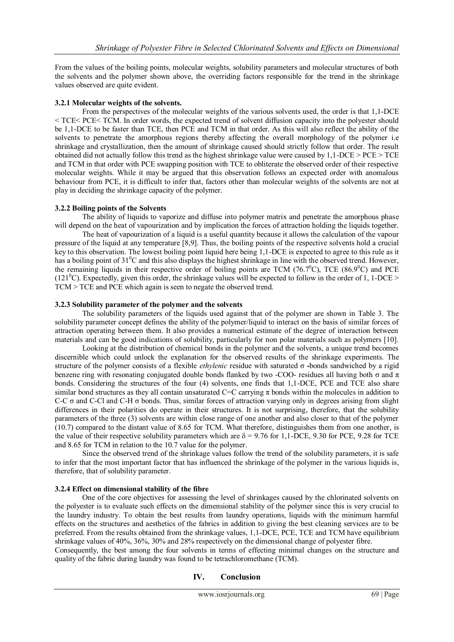From the values of the boiling points, molecular weights, solubility parameters and molecular structures of both the solvents and the polymer shown above, the overriding factors responsible for the trend in the shrinkage values observed are quite evident.

# **3.2.1 Molecular weights of the solvents.**

From the perspectives of the molecular weights of the various solvents used, the order is that 1,1-DCE < TCE< PCE< TCM. In order words, the expected trend of solvent diffusion capacity into the polyester should be 1,1-DCE to be faster than TCE, then PCE and TCM in that order. As this will also reflect the ability of the solvents to penetrate the amorphous regions thereby affecting the overall morphology of the polymer i.e shrinkage and crystallization, then the amount of shrinkage caused should strictly follow that order. The result obtained did not actually follow this trend as the highest shrinkage value were caused by 1,1-DCE > PCE > TCE and TCM in that order with PCE swapping position with TCE to obliterate the observed order of their respective molecular weights. While it may be argued that this observation follows an expected order with anomalous behaviour from PCE, it is difficult to infer that, factors other than molecular weights of the solvents are not at play in deciding the shrinkage capacity of the polymer.

## **3.2.2 Boiling points of the Solvents**

The ability of liquids to vaporize and diffuse into polymer matrix and penetrate the amorphous phase will depend on the heat of vapourization and by implication the forces of attraction holding the liquids together.

The heat of vapourization of a liquid is a useful quantity because it allows the calculation of the vapour pressure of the liquid at any temperature [8,9]. Thus, the boiling points of the respective solvents hold a crucial key to this observation. The lowest boiling point liquid here being 1,1-DCE is expected to agree to this rule as it has a boiling point of 31<sup>0</sup>C and this also displays the highest shrinkage in line with the observed trend. However, the remaining liquids in their respective order of boiling points are TCM (76.7<sup>0</sup>C), TCE (86.9<sup>0</sup>C) and PCE  $(121^{\circ}$ C). Expectedly, given this order, the shrinkage values will be expected to follow in the order of 1, 1-DCE > TCM > TCE and PCE which again is seen to negate the observed trend.

## **3.2.3 Solubility parameter of the polymer and the solvents**

The solubility parameters of the liquids used against that of the polymer are shown in Table 3. The solubility parameter concept defines the ability of the polymer/liquid to interact on the basis of similar forces of attraction operating between them. It also provides a numerical estimate of the degree of interaction between materials and can be good indications of solubility, particularly for non polar materials such as polymers [10].

Looking at the distribution of chemical bonds in the polymer and the solvents, a unique trend becomes discernible which could unlock the explanation for the observed results of the shrinkage experiments. The structure of the polymer consists of a flexible *ethylenic* residue with saturated σ **-**bonds sandwiched by a rigid benzene ring with resonating conjugated double bonds flanked by two -COO- residues all having both  $\sigma$  and  $\pi$ bonds. Considering the structures of the four (4) solvents, one finds that 1,1-DCE, PCE and TCE also share similar bond structures as they all contain unsaturated C=C carrying  $\pi$  bonds within the molecules in addition to C-C  $\sigma$  and C-Cl and C-H  $\sigma$  bonds. Thus, similar forces of attraction varying only in degrees arising from slight differences in their polarities do operate in their structures. It is not surprising, therefore, that the solubility parameters of the three (3) solvents are within close range of one another and also closer to that of the polymer (10.7) compared to the distant value of 8.65 for TCM. What therefore, distinguishes them from one another, is the value of their respective solubility parameters which are  $\delta = 9.76$  for 1,1-DCE, 9.30 for PCE, 9.28 for TCE and 8.65 for TCM in relation to the 10.7 value for the polymer.

Since the observed trend of the shrinkage values follow the trend of the solubility parameters, it is safe to infer that the most important factor that has influenced the shrinkage of the polymer in the various liquids is, therefore, that of solubility parameter.

## **3.2.4 Effect on dimensional stability of the fibre**

One of the core objectives for assessing the level of shrinkages caused by the chlorinated solvents on the polyester is to evaluate such effects on the dimensional stability of the polymer since this is very crucial to the laundry industry. To obtain the best results from laundry operations, liquids with the minimum harmful effects on the structures and aesthetics of the fabrics in addition to giving the best cleaning services are to be preferred. From the results obtained from the shrinkage values, 1,1-DCE, PCE, TCE and TCM have equilibrium shrinkage values of 40%, 36%, 30% and 28% respectively on the dimensional change of polyester fibre.

Consequently, the best among the four solvents in terms of effecting minimal changes on the structure and quality of the fabric during laundry was found to be tetrachloromethane (TCM).

# **IV. Conclusion**